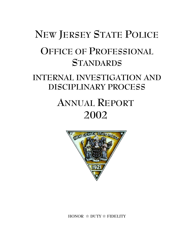# **NEW JERSEY STATE POLICE OFFICE OF PROFESSIONAL STANDARDS INTERNAL INVESTIGATION AND DISCIPLINARY PROCESS ANNUAL REPORT**



**2002**

**HONOR** j **DUTY** j **FIDELITY**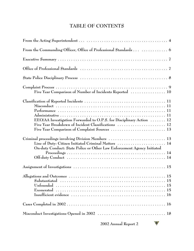# **TABLE OF CONTENTS**

| From the Commanding Officer, Office of Professional Standards   6                                                               |
|---------------------------------------------------------------------------------------------------------------------------------|
|                                                                                                                                 |
|                                                                                                                                 |
|                                                                                                                                 |
| Five Year Comparison of Number of Incidents Reported  10                                                                        |
| EEO/AA Investigation Forwarded to O.P.S. for Disciplinary Action  12<br>Five Year Breakdown of Incident Classifications  12     |
| Line of Duty: Citizen Initiated Criminal Matters  14<br>On-duty Conduct: State Police or Other Law Enforcement Agency Initiated |
|                                                                                                                                 |
|                                                                                                                                 |
|                                                                                                                                 |
|                                                                                                                                 |

**2002 Annual Report 2**  W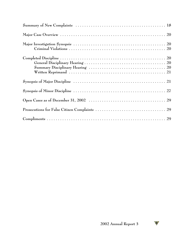$$
\mathbf{W}^{\prime}
$$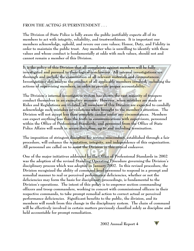#### **FROM THE ACTING SUPERINTENDENT . . .**

**The Division of State Police is fully aware the public justifiably expects all of its members to act with integrity, reliability, and trustworthiness. It is important our members acknowledge, uphold, and revere our core values; Honor, Duty, and Fidelity in order to maintain the public trust. Any member who is unwilling to identify with these values and whose conduct is fundamentally at odds with such values, should not and cannot remain a member of this Division.**

**It is the policy of this Division that all complaints against members will be fully investigated and pursued to their logical conclusions. All internal investigations are thorough and include the examination of all relevant materials and circumstances. Investigations also analyze the conduct of all applicable members involved, including the actions of supervising members, in order to provide proper accountability.** 

**The Division's internal investigative system has shown the vast majority of troopers conduct themselves in an exemplary manner. However, when mistakes are made or Rules and Regulations are violated, all members of this Division are expected to candidly acknowledge such mistakes or violations when brought to the member's attention. The Division will not accept less than complete candor under any circumstances. Members can expect anything less than the truth in communications with supervisors, personnel within the Office of Professional Standards, and personnel from the Office of State Police Affairs will result in severe discipline, up to and including termination.**

**The imposition of stringent discipline for serious misconduct, established through a fair procedure, will enhance the reputation, integrity, and independence of this organization. All personnel are called on to assist the Division in this critical endeavor.**

**One of the major initiatives addressed by the Office of Professional Standards in 2002 was the adoption of the revised Standing Operating Procedure governing the Division's disciplinary process which was adopted in January 2002. In this revised procedure, the Division recognized the ability of command level personnel to respond in a prompt and remedial manner to real or perceived performance deficiencies, whether or not the deficiencies may form the basis for disciplinary proceedings, is fundamental to the Division's operations. The intent of this policy is to empower section commanding officers and troop commanders, working in concert with commissioned officers in their respective commands, to take prompt remedial action to correct actual or perceived performance deficiencies. Significant benefits to the public, the division, and its members will result from this change in the disciplinary system. The chain of command will be effectively involved in certain matters previously classified solely as discipline and held accountable for prompt remediation.**

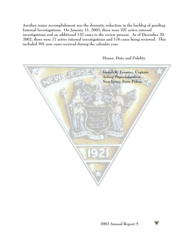**Another major accomplishment was the dramatic reduction in the backlog of pending Internal Investigations. On January 11, 2002, there were 707 active internal investigations and an additional 132 cases in the review process. As of December 20, 2002, there were 77 active internal investigations and 176 cases being reviewed. This included 391 new cases received during the calendar year.** 

**Joseph R. Fuentes, Captain Acting Superintendent New Jersey State Police** $D1$ 776

**Honor, Duty and Fidelity**



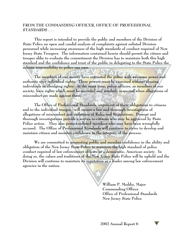#### **FROM THE COMMANDING OFFICER, OFFICE OF PROFESSIONAL STANDARDS . . .**

**This report is intended to provide the public and members of the Division of State Police an open and candid analysis of complaints against enlisted Division personnel while increasing awareness of the high standards of conduct required of New Jersey State Troopers. The information contained herein should permit the citizen and trooper alike to evaluate the commitment the Division has to maintain both this high standard and the confidence and trust of the public in delegating to the State Police the solemn responsibility to police our own.**

**The members of our society have entrusted the police with awesome power and authority over individual rights. These powers must be exercised without abusing individuals or abridging rights. At the same time, police officers, as members of our society, have rights which must be accorded and similarly respected when allegations of misconduct are made against them.**

**The Office of Professional Standards, cognizant of these obligations to citizens and to the individual trooper, will ensure a fair and thorough investigation of allegations of misconduct and violations of Rules and Regulations. Prompt and thorough investigations provide a service to citizens who may be aggrieved by State Police action. They also protect enlisted members who may have been wrongfully accused. The Office of Professional Standards will continue to strive to develop and maintain citizen and member confidence in the integrity of the process.**

**We are committed to promoting public and member confidence in the ability and obligation of the New Jersey State Police to maintain the high standard of police conduct required of law enforcement officers in a democratic, American society. In doing so, the values and traditions of the New Jersey State Police will be upheld and the Division will continue to maintain its reputation as a leader among law enforcement agencies in the nation.**

> **William P. Meddis, Major Commanding Officer Office of Professional Standards New Jersey State Police**

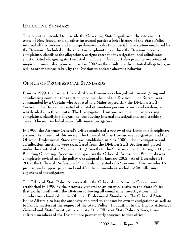# **EXECUTIVE SUMMARY**

**This report is intended to provide the Governor, State Legislature, the citizens of the State of New Jersey, and all other interested parties a brief history of the State Police internal affairs process and a comprehensive look at the disciplinary system employed by the Division. Included in the report are explanations of how the Division receives complaints, classifies the allegations, assigns cases for investigation, and adjudicates substantiated charges against enlisted members. The report also provides overviews of major and minor discipline imposed in 2002 as the result of substantiated allegations, as well as other actions taken by the Division to address aberrant behavior.**

#### **OFFICE OF PROFESSIONAL STANDARDS**

**Prior to 1999, the former Internal Affairs Bureau was charged with investigating and adjudicating complaints against enlisted members of the Division. The Bureau was commanded by a Captain who reported to a Major supervising the Division Staff Section. The Bureau consisted of a total of nineteen persons, sworn and civilian, and was divided into three units. The Investigation Unit was responsible for receiving complaints, classifying allegations, conducting internal investigations, and tracking cases. The unit included seven full-time investigators.**

**In 1999, the Attorney General's Office conducted a review of the Division's disciplinary system. As a result of this review, the Internal Affairs Bureau was reorganized and the Office of Professional Standards was established in May 2000. The investigative and adjudication functions were transferred from the Division Staff Section and placed under the control of a Major reporting directly to the Superintendent. During 2001, the Standing Operating Procedure that governs the Office of Professional Standards was completely revised and the policy was adopted in January 2002. As of December 31, 2002, the Office of Professional Standards consisted of 62 persons. This includes 16 professional support personnel and 46 enlisted members, including 26 full- time, experienced investigators.**

**The Office of State Police Affairs within the Office of the Attorney General was established in 1999 by the Attorney General as an external entity to the State Police that works jointly with the Division reviewing all complaints, investigations, and adjudications handled by the Office of Professional Standards. The Office of State Police Affairs also has the authority and staff to conduct its own investigations as well as to handle matters at the request of the State Police. In addition to the Deputy Attorneys General and State Investigators who staff the Office of State Police Affairs, three enlisted members of the Division are permanently assigned to that office.**

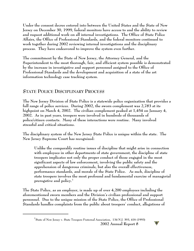**Under the consent decree entered into between the United States and the State of New Jersey on December 30, 1999, federal monitors have access to and the ability to review and request additional work on all internal investigations. The Office of State Police Affairs, the Office of Professional Standards, and the federal monitors continued to work together during 2002 reviewing internal investigations and the disciplinary process. They have endeavored to improve the system even further.**

**The commitment by the State of New Jersey, the Attorney General, and the Superintendent to the most thorough, fair, and efficient system possible is demonstrated by the increase in investigative and support personnel assigned to the Office of Professional Standards and the development and acquisition of a state of the art information technology case tracking system.**

# **STATE POLICE DISCIPLINARY PROCESS**

**The New Jersey Division of State Police is a statewide police organization that provides a full range of police services. During 2002, the sworn complement was 2,783 at its highpoint on March 4, 2002. The civilian complement peaked at 1,454 on January 4, 2002. As in past years, troopers were involved in hundreds of thousands of police/citizen contacts. Many of these interactions were routine. Many involved stressful and critical situations.**

**The disciplinary system of the New Jersey State Police is unique within the state. The New Jersey Supreme Court has recognized:**

**Unlike the comparably routine issues of discipline that might arise in connection with employees in other departments of state government, the discipline of state troopers implicates not only the proper conduct of those engaged in the most significant aspects of law enforcement, involving the public safety and the apprehension of dangerous criminals, but also the overall effectiveness, performance standards, and morale of the State Police. As such, discipline of state troopers involves the most profound and fundamental exercise of managerial prerogative and policy. 1**

**The State Police, as an employer, is made up of over 4,200 employees including the aforementioned sworn members and the Division's civilian professional and support personnel. Due to the unique mission of the State Police, the Office of Professional Standards handles complaints from the public about troopers' conduct, allegations of**

**State of New Jersey v. State Troopers Fraternal Association, 134 N.J. 393, 416 (1993) 1 2002 Annual Report 8** 

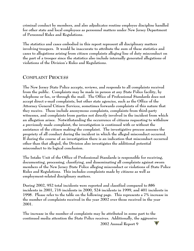**criminal conduct by members, and also adjudicates routine employee discipline handled for other state and local employees as personnel matters under New Jersey Department of Personnel Rules and Regulations.**

**The statistics and cases embodied in this report represent all disciplinary matters involving troopers. It would be inaccurate to attribute the sum of these statistics and cases to allegations arising from citizen complaints alleging line of duty misconduct on the part of a trooper since the statistics also include internally generated allegations of violations of the Division's Rules and Regulations.**

# **COMPLAINT PROCESS**

**The New Jersey State Police accepts, reviews, and responds to all complaints received from the public. Complaints may be made in person at any State Police facility, by telephone or fax, or through the mail. The Office of Professional Standards does not accept direct e-mail complaints, but other state agencies, such as the Office of the Attorney General Citizen Services, sometimes forwards complaints of this nature that they receive. These include anonymous complaints, complaints from third-party witnesses, and complaints from parties not directly involved in the incident from which an allegation arises. Notwithstanding the occurrence of citizens requesting to withdraw a previously made complaint, the investigation is continued with or without the assistance of the citizen making the complaint. The investigative process assesses the propriety of all conduct during the incident in which the alleged misconduct occurred. If during the course of an investigation there is an indication that misconduct occurred other than that alleged, the Division also investigates the additional potential misconduct to its logical conclusion.**

**The Intake Unit of the Office of Professional Standards is responsible for receiving, documenting, processing, classifying, and disseminating all complaints against sworn members of the New Jersey State Police alleging misconduct or violations of State Police Rules and Regulations. This includes complaints made by citizens as well as employment-related disciplinary matters.**

**During 2002, 952 total incidents were reported and classified compared to 886 incidents in 2001, 716 incidents in 2000, 524 incidents in 1999, and 401 incidents in 1998. Please refer to the table on the following page. This represents a 7% increase in the number of complaints received in the year 2002 over those received in the year 2001.**

**The increase in the number of complaints may be attributed in some part to the continued media attention the State Police receives. Additionally, the aggressive**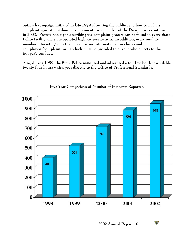**outreach campaign initiated in late 1999 educating the public as to how to make a complaint against or submit a compliment for a member of the Division was continued in 2002. Posters and signs describing the complaint process can be found in every State Police facility and state operated highway service area. In addition, every on-duty member interacting with the public carries informational brochures and compliment/complaint forms which must be provided to anyone who objects to the trooper's conduct.** 

**Also, during 1999, the State Police instituted and advertised a toll-free hot line available twenty-four hours which goes directly to the Office of Professional Standards.** 



#### **Five Year Comparison of Number of Incidents Reported**

**2002 Annual Report 10** 

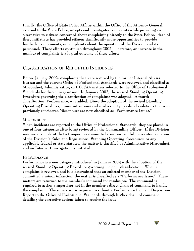**Finally, the Office of State Police Affairs within the Office of the Attorney General, external to the State Police, accepts and investigates complaints while providing an alternative to citizens concerned about complaining directly to the State Police. Each of these initiatives has provided citizens significantly more opportunities to provide feedback, compliments, or complaints about the operation of the Division and its personnel. These efforts continued throughout 2002. Therefore, an increase in the number of complaints is a logical outcome of these efforts.**

#### **CLASSIFICATION OF REPORTED INCIDENTS**

**Before January 2002, complaints that were received by the former Internal Affairs Bureau and the current Office of Professional Standards were reviewed and classified as Misconduct, Administrative, or EEO/AA matters referred to the Office of Professional Standards for disciplinary action. In January 2002, the revised Standing Operating Procedure governing the classification of complaints was adopted. A fourth classification, Performance, was added. Since the adoption of the revised Standing Operating Procedures, minor infractions and inadvertent procedural violations that were previously considered Misconduct are now classified as "Performance Issues."**

#### **MISCONDUCT**

**When incidents are reported to the Office of Professional Standards, they are placed in one of four categories after being reviewed by the Commanding Officer. If the Division receives a complaint that a trooper has committed a serious, willful, or wanton violation of the Division's Rules and Regulations, Standing Operating Procedures, or any applicable federal or state statutes, the matter is classified as Administrative Misconduct, and an Internal Investigation is initiated.**

#### **PERFORMANCE**

**Performance is a new category introduced in January 2002 with the adoption of the revised Standing Operating Procedure governing incident classification. When a complaint is reviewed and it is determined that an enlisted member of the Division committed a minor infraction, the matter is classified as a "Performance Issue." These matters are returned to the member's command for resolution. The command is required to assign a supervisor not in the member's direct chain of command to handle the complaint. The supervisor is required to submit a Performance Incident Disposition Report to the Office of Professional Standards through his/her chain of command detailing the corrective actions taken to resolve the issue.**

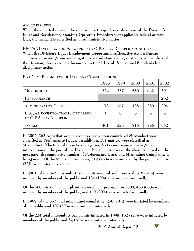#### **ADMINISTRATIVE**

**When the reported incident does not infer a trooper has violated any of the Division's Rules and Regulations, Standing Operating Procedures, or applicable federal or state laws, the incident is classified as an Administrative matter.**

**EEO/AA INVESTIGATION FORWARDED TO O.P.S. FOR DISCIPLINARY ACTION When the Division's Equal Employment Opportunity/Affirmative Action Bureau conducts an investigation and allegations are substantiated against enlisted members of the Division, those cases are forwarded to the Office of Professional Standards for disciplinary action.**

|                                                                    | 1998 | 1999     | 2000 | 2001           | 2002           |
|--------------------------------------------------------------------|------|----------|------|----------------|----------------|
| <b>MISCONDUCT</b>                                                  | 224  | 357      | 580  | 642            | 391            |
| PERFORMANCE                                                        |      |          |      |                | 262            |
| <b>ADMINISTRATIVE ISSUES</b>                                       | 176  | 167      | 128  | 239            | 294            |
| <b>EEO/AA INVESTIGATIONS FORWARDED</b><br>TO O.P.S. FOR DISCIPLINE |      | $\theta$ | 8    | $\overline{5}$ | $\overline{5}$ |
| <b>TOTALS</b>                                                      | 401  | 524      | 716  | 886            | 952            |

**FIVE YEAR BREAKDOWN OF INCIDENT CLASSIFICATIONS**

**In 2002, 262 cases that would have previously been considered Misconduct were classified as Performance Issues. In addition, 391 matters were classified as Misconduct. The total of these two categories, 653 cases, required management intervention on the part of the Division. For the purposes of the chart displayed on the next page, the cumulative number of Performance Issues and Misconduct Complaints is being used. Of the 653 combined cases, 512 (78%) were initiated by the public and 141 (22%) were internally generated.** 

**In 2001, of the 642 misconduct complaints received and processed, 518 (81%) were initiated by members of the public and 124 (19%) were initiated internally.**

**Of the 580 misconduct complaints received and processed in 2000, 465 (80%) were initiated by members of the public, and 115 (20%) were initiated internally.**

**In 1999, of the 357 total misconduct complaints, 250 (70%) were initiated by members of the public and 107 (30%) were initiated internally.** 

**Of the 224 total misconduct complaints initiated in 1998, 162 (72%) were initiated by members of the public and 62 (28%) were initiated internally.**

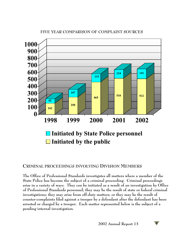

#### **FIVE YEAR COMPARISON OF COMPLAINT SOURCES**

# **CRIMINAL PROCEEDINGS INVOLVING DIVISION MEMBERS**

**The Office of Professional Standards investigates all matters where a member of the State Police has become the subject of a criminal proceeding. Criminal proceedings arise in a variety of ways. They can be initiated as a result of an investigation by Office of Professional Standards personnel; they may be the result of state or federal criminal investigations; they may arise from off-duty matters; or they may be the result of counter-complaints filed against a trooper by a defendant after the defendant has been arrested or charged by a trooper. Each matter represented below is the subject of a pending internal investigation.**

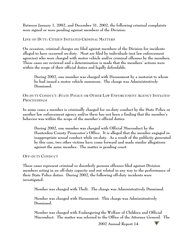**Between January 1, 2002, and December 31, 2002, the following criminal complaints were signed or were pending against members of the Division:**

#### **LINE OF DUTY: CITIZEN INITIATED CRIMINAL MATTERS**

**On occasion, criminal charges are filed against members of the Division for incidents alleged to have occurred on-duty. Most are filed by individuals (not law enforcement agencies) who were charged with motor vehicle and/or criminal offenses by the members. These cases are reviewed and a determination is made that the members' actions were within the scope of their official duties and legally defendable.** 

**During 2002, one member was charged with Harassment by a motorist to whom he had issued a motor vehicle summons. The charge was Administratively Dismissed.**

#### **ON-DUTY CONDUCT: STATE POLICE OR OTHER LAW ENFORCEMENT AGENCY INITIATED PROCEEDINGS**

**In some cases a member is criminally charged for on-duty conduct by the State Police or another law enforcement agency and/or there has not been a finding that the member's behavior was within the scope of the member's official duties.**

**During 2002, one member was charged with Official Misconduct by the Hunterdon County Prosecutor's Office. It is alleged that the member engaged in inappropriate sexual conduct while on-duty. As a result of the publicity generated by this case, two other victims have come forward and made similar allegations against the same member. The matter is pending court.**

**OFF-DUTY CONDUCT** 

**These cases represent criminal or disorderly persons offenses filed against Division members acting in an off-duty capacity and not related in any way to the performance of their State Police duties. During 2002, the following off-duty incidents were investigated:**

**Member was charged with Theft. The charge was Administratively Dismissed.**

**Member was charged with Harassment. This charge was Administratively Dismissed.**

**Member was charged with Endangering the Welfare of Children and Official Misconduct. The matter was referred to the Office of the Attorney General. The**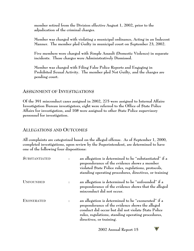**member retired from the Division effective August 1, 2002, prior to the adjudication of the criminal charges.**

**Member was charged with violating a municipal ordinance, Acting in an Indecent Manner. The member pled Guilty in municipal court on September 23, 2002.**

**Five members were charged with Simple Assault (Domestic Violence) in separate incidents. These charges were Administratively Dismissed.**

**Member was charged with Filing False Police Reports and Engaging in Prohibited Sexual Activity. The member pled Not Guilty, and the charges are pending court.**

#### **ASSIGNMENT OF INVESTIGATIONS**

**Of the 391 misconduct cases assigned in 2002, 275 were assigned to Internal Affairs Investigation Bureau investigators, eight were referred to the Office of State Police Affairs for investigation, and 108 were assigned to other State Police supervisory personnel for investigation.**

#### **ALLEGATIONS AND OUTCOMES**

**All complaints are categorized based on the alleged offense. As of September 1, 2000, completed investigations, upon review by the Superintendent, are determined to have one of the following four dispositions:**

| <b>SUBSTANTIATED</b> | an allegation is determined to be "substantiated" if a<br>preponderance of the evidence shows a member<br>violated State Police rules, regulations, protocols,<br>standing operating procedures, directives, or training                       |
|----------------------|------------------------------------------------------------------------------------------------------------------------------------------------------------------------------------------------------------------------------------------------|
| <b>UNFOUNDED</b>     | an allegation is determined to be "unfounded" if a<br>preponderance of the evidence shows that the alleged<br>misconduct did not occur.                                                                                                        |
| <b>EXONERATED</b>    | an allegation is determined to be "exonerated" if a<br>preponderance of the evidence shows the alleged<br>conduct did occur but did not violate State Police<br>rules, regulations, standing operating procedures,<br>directives, or training. |

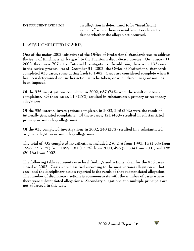**INSUFFICIENT EVIDENCE : an allegation is determined to be "insufficient evidence" where there is insufficient evidence to decide whether the alleged act occurred.**

# **CASES COMPLETED IN 2002**

**One of the major 2002 initiatives of the Office of Professional Standards was to address the issue of timeliness with regard to the Division's disciplinary process. On January 11, 2002, there were 707 active Internal Investigations. In addition, there were 132 cases in the review process. As of December 31, 2002, the Office of Professional Standards completed 935 cases, some dating back to 1997. Cases are considered complete when it has been determined no further action is to be taken, or when disciplinary action has been imposed.** 

**Of the 935 investigations completed in 2002, 687 (74%) were the result of citizen complaints. Of these cases, 119 (17%) resulted in substantiated primary or secondary allegations.**

**Of the 935 internal investigations completed in 2002, 248 (26%) were the result of internally generated complaints. Of these cases, 121 (48%) resulted in substantiated primary or secondary allegations.**

**Of the 935 completed investigations in 2002, 240 (25%) resulted in a substantiated original allegation or secondary allegations.**

**The total of 935 completed investigations included 2 (0.2%) from 1997, 14 (1.5%) from 1998, 72 (7.7%) from 1999, 161 (17.2%) from 2000, 498 (53.3%) from 2001, and 188 (20.1%) from 2002.**

**The following table represents case level findings and actions taken for the 935 cases closed in 2002. Cases were classified according to the most serious allegation in that case, and the disciplinary action reported is the result of that substantiated allegation. The number of disciplinary actions is commensurate with the number of cases where there were substantiated allegations. Secondary allegations and multiple principals are not addressed in this table.**

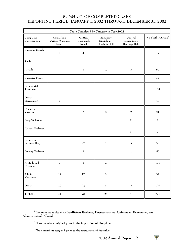# **SUMMARY OF COMPLETED CASES REPORTING PERIOD: JANUARY 1, 2002 THROUGH DECEMBER 31, 2002**

| Cases Completed by Category in Year 2002    |                                           |                                 |                                          |                                          |                                |  |  |  |
|---------------------------------------------|-------------------------------------------|---------------------------------|------------------------------------------|------------------------------------------|--------------------------------|--|--|--|
| Complaint<br>Classification                 | Counseling/<br>Written Warnings<br>Issued | Written<br>Reprimands<br>Issued | Summary<br>Disciplinary<br>Hearings Held | General<br>Disciplinary<br>Hearings Held | No Further Action <sup>2</sup> |  |  |  |
| Improper Search                             | $\,1\,$                                   | $\overline{4}$                  |                                          |                                          | 17                             |  |  |  |
| Theft                                       |                                           |                                 | $\mathbf 1$                              |                                          | $\bf 4$                        |  |  |  |
| Assault                                     |                                           | $\mathbf 1$                     | $\mathbf 2$                              | $\mathbf{3}$                             | 50                             |  |  |  |
| <b>Excessive Force</b>                      |                                           |                                 |                                          |                                          | 32                             |  |  |  |
| Differential<br>Treatment                   |                                           |                                 |                                          |                                          | 184                            |  |  |  |
| Other<br>Harassment                         | $\mathbf{1}$                              |                                 |                                          |                                          | 40                             |  |  |  |
| Domestic<br>Violence                        |                                           | $\sqrt{2}$                      | $\overline{a}$                           | $\sqrt{2}$                               | 21                             |  |  |  |
| Drug Violation                              |                                           |                                 |                                          | $2^3$                                    | $\mathbf 1$                    |  |  |  |
| Alcohol Violation                           |                                           |                                 |                                          | $\mathbf{4}^4$                           | $\sqrt{2}$                     |  |  |  |
| Failure to<br>Perform Duty                  | 10                                        | 27                              | $\overline{\textbf{1}}$                  | 5                                        | 58                             |  |  |  |
| Driving Violation                           |                                           | $\mathbf{3}$                    |                                          | $\mathbf 1$                              | 50                             |  |  |  |
| Attitude and<br>Demeanor                    | $\sqrt{2}$                                | $\sqrt{2}$                      | $\sqrt{2}$                               |                                          | $101\,$                        |  |  |  |
| $\lceil \text{Admin.} \rceil$<br>Violations | $17\,$                                    | $17\,$                          | $\overline{a}$                           | $\mathbf 1$                              | 32                             |  |  |  |
| Other                                       | $10\,$                                    | 22                              | $\bf 8$                                  | $\mathbf{3}$                             | 179                            |  |  |  |
| <b>TOTALS</b>                               | $\bf 41$                                  | ${\bf 78}$                      | $24\,$                                   | 21                                       | $771\,$                        |  |  |  |

 $^2$  Includes cases closed as Insufficient Evidence, Unsubstantiated, Unfounded, Exonerated, and **Administratively Closed**



**Two members resigned prior to the imposition of discipline. 3**

**Two members resigned prior to the imposition of discipline. 4**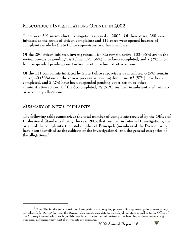# **MISCONDUCT INVESTIGATIONS OPENED IN 2002**

**There were 391 misconduct investigations opened in 2002. Of these cases, 280 were initiated as the result of citizen complaints and 111 cases were opened because of complaints made by State Police supervisors or other members.** 

**Of the 280 citizen initiated investigations, 16 (6%) remain active, 102 (36%) are in the review process or pending discipline, 155 (56%) have been completed, and 7 (2%) have been suspended pending court action or other administrative action.**

**Of the 111 complaints initiated by State Police supervisors or members, 6 (5%) remain active, 40 (36%) are in the review process or pending discipline, 63 (57%) have been completed, and 2 (2%) have been suspended pending court action or other administrative action. Of the 63 completed, 39 (61%) resulted in substantiated primary or secondary allegations.**

#### **SUMMARY OF NEW COMPLAINTS**

**The following table summarizes the total number of complaints received by the Office of Professional Standards during the year 2002 that resulted in Internal Investigations, the origin of the complaints, the total number of Principals (members of the Division who have been identified as the subjects of the investigations), and the general categories of the allegations.<sup>5</sup>**



**Note: The intake and disposition of complaints is an ongoing process. During investigations matters may 5 be reclassified. During the year, the Division also reports case data to the federal monitors as well as to the Office of the Attorney General which each publish case data. Due to the fluid nature of the handling of these matters, slight numerical differences may exist if the reports are compared.**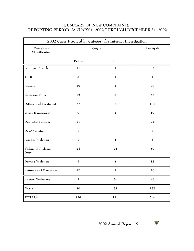# **SUMMARY OF NEW COMPLAINTS REPORTING PERIOD: JANUARY 1, 2002 THROUGH DECEMBER 31, 2002**

| 2002 Cases Received by Category for Internal Investigation |                         |                         |                         |  |  |
|------------------------------------------------------------|-------------------------|-------------------------|-------------------------|--|--|
| Complaint<br>Classification                                | Origin                  | Principals              |                         |  |  |
|                                                            | Public                  | SP                      |                         |  |  |
| Improper Search                                            | 11                      | $\mathbf{1}$            | 27                      |  |  |
| Theft                                                      | 3                       | $\mathbf 1$             | $\overline{\mathbf{4}}$ |  |  |
| Assault                                                    | $10\,$                  | $\,1$                   | 20                      |  |  |
| Excessive Force                                            | 26                      | $\mathfrak{Z}$          | 58                      |  |  |
| Differential Treatment                                     | 77                      | $\boldsymbol{2}$        | 101                     |  |  |
| Other Harassment                                           | $\boldsymbol{9}$        | $\mathbf 1$             | 19                      |  |  |
| Domestic Violence                                          | 21                      |                         | 21                      |  |  |
| Drug Violation                                             | 1                       |                         | $\overline{a}$          |  |  |
| Alcohol Violation                                          | $\mathbf 1$             | $\overline{\mathbf{4}}$ | $\overline{\mathbf{Z}}$ |  |  |
| Failure to Perform<br>Duty                                 | 24                      | 25                      | 89                      |  |  |
| Driving Violation                                          | $\overline{\mathbf{I}}$ | $\overline{\mathbf{4}}$ | 12                      |  |  |
| Attitude and Demeanor                                      | 17                      | $\mathbf{1}$            | 20                      |  |  |
| Admin. Violations                                          | 3                       | 36                      | 49                      |  |  |
| Other                                                      | 70                      | 32                      | 137                     |  |  |
| <b>TOTALS</b>                                              | 280                     | 111                     | 566                     |  |  |

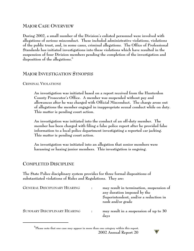# **MAJOR CASE OVERVIEW**

**During 2002, a small number of the Division's enlisted personnel were involved with allegations of serious misconduct. These included administrative violations, violations of the public trust, and, in some cases, criminal allegations. The Office of Professional Standards has initiated investigations into these violations which have resulted in the suspension of four Division members pending the completion of the investigation and disposition of the allegations.<sup>6</sup>**

# **MAJOR INVESTIGATION SYNOPSIS**

#### **CRIMINAL VIOLATIONS**

**An investigation was initiated based on a report received from the Hunterdon County Prosecutor's Office. A member was suspended without pay and allowances after he was charged with Official Misconduct. The charge arose out of allegations the member engaged in inappropriate sexual conduct while on duty. This matter is pending court action.**

**An investigation was initiated into the conduct of an off-duty member. The member has been charged with filing a false police report after he provided false information to a local police department investigating a reported car jacking. This matter is pending court action.**

**An investigation was initiated into an allegation that senior members were harassing or hazing junior members. This investigation is ongoing.**

# **COMPLETED DISCIPLINE**

**The State Police disciplinary system provides for three formal dispositions of substantiated violations of Rules and Regulations. They are:**

| <b>GENERAL DISCIPLINARY HEARING</b> |  | may result in termination, suspension of<br>any duration imposed by the<br>Superintendent, and/or a reduction in<br>rank and/or grade |  |  |
|-------------------------------------|--|---------------------------------------------------------------------------------------------------------------------------------------|--|--|
| SUMMARY DISCIPLINARY HEARING        |  | may result in a suspension of up to 30<br>days                                                                                        |  |  |

 $^6$ Please note that one case may appear in more than one category within this report. **2002 Annual Report 20** 

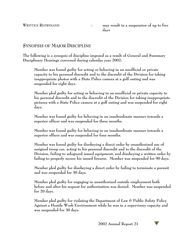# **SYNOPSIS OF MAJOR DISCIPLINE**

**The following is a synopsis of discipline imposed as a result of General and Summary Disciplinary Hearings convened during calendar year 2002:**

**Member was found guilty for acting or behaving in an unofficial or private capacity to his personal discredit and to the discredit of the Division for taking inappropriate photos with a State Police camera at a golf outing and was suspended for eight days.**

**Member pled guilty for acting or behaving in an unofficial or private capacity to his personal discredit and to the discredit of the Division for taking inappropriate pictures with a State Police camera at a golf outing and was suspended for eight days.**

**Member was found guilty for behaving in an insubordinate manner towards a superior officer and was suspended for three months.**

**Member was found guilty for behaving in an insubordinate manner towards a superior officer and was suspended for four months.**

**Member was found guilty for disobeying a direct order by unauthorized use of assigned troop car, acting to his personal discredit and to the discredit of the Division, failing to safeguard issued equipment, and disobeying a written order by failing to properly secure his issued firearm. Member was suspended for 90 days.**

**Member pled guilty for disobeying a direct order by failing to terminate a pursuit and was suspended for 30 days.**

**Member pled guilty for engaging in unauthorized outside employment both before and after his request for authorization was denied. Member was suspended for 20 days.**

**Member pled guilty for violating the Department of Law & Public Safety Policy Against a Hostile Work Environment while he was in a supervisory capacity and was suspended for 30 days.**

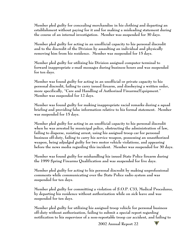**Member pled guilty for concealing merchandise in his clothing and departing an establishment without paying for it and for making a misleading statement during the course of an internal investigation. Member was suspended for 30 days.**

**Member pled guilty for acting in an unofficial capacity to his personal discredit and to the discredit of the Division by assaulting an individual and physically removing him from his residence. Member was suspended for 15 days.**

**Member pled guilty for utilizing his Division assigned computer terminal to forward inappropriate e-mail messages during business hours and was suspended for ten days.**

**Member was found guilty for acting in an unofficial or private capacity to his personal discredit, failing to carry issued firearm, and disobeying a written order, more specifically, "Care and Handling of Authorized Firearms/Equipment." Member was suspended for 12 days.**

**Member was found guilty for making inappropriate racial remarks during a squad briefing and providing false information relative to his formal statement. Member was suspended for 15 days.**

**Member pled guilty for acting in an unofficial capacity to his personal discredit when he was arrested by municipal police, obstructing the administration of law, failing to disperse, resisting arrest, using his assigned troop car for personal business off-duty, failing to carry his service weapon, possessing an unauthorized weapon, being adjudged guilty for two motor vehicle violations, and appearing before the news media regarding this incident. Member was suspended for 30 days.**

**Member was found guilty for mishandling his issued State Police firearm during the 1999 Spring Firearms Qualification and was suspended for five days.**

**Member pled guilty for acting to his personal discredit by making unprofessional comments while communicating over the State Police radio system and was suspended for ten days.**

**Member pled guilty for committing a violation of S.O.P. C33, Medical Procedures, by departing his residence without authorization while on sick leave and was suspended for ten days.**

**Member pled guilty for utilizing his assigned troop vehicle for personal business off-duty without authorization, failing to submit a special report regarding notification to his supervisor of a non-reportable troop car accident, and failing to**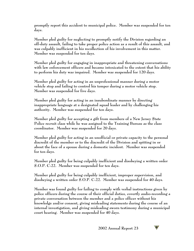**promptly report this accident to municipal police. Member was suspended for ten days.**

**Member pled guilty for neglecting to promptly notify the Division regarding an off-duty assault, failing to take proper police action as a result of this assault, and was culpably inefficient in his recollection of his involvement in this matter. Member was suspended for ten days.**

**Member pled guilty for engaging in inappropriate and threatening conversations with law enforcement officers and became intoxicated to the extent that his ability to perform his duty was impaired. Member was suspended for 120 days.**

**Member pled guilty for acting in an unprofessional manner during a motor vehicle stop and failing to control his temper during a motor vehicle stop. Member was suspended for five days.** 

**Member pled guilty for acting in an insubordinate manner by directing inappropriate language at a designated squad leader and by challenging his authority. Member was suspended for ten days.**

**Member pled guilty for accepting a gift from members of a New Jersey State Police recruit class while he was assigned to the Training Bureau as the class coordinator. Member was suspended for 20 days.**

**Member pled guilty for acting in an unofficial or private capacity to the personal discredit of the member or to the discredit of the Division and spitting in or about the face of a spouse during a domestic incident. Member was suspended for ten days.**

**Member pled guilty for being culpably inefficient and disobeying a written order S.O.P. C-22. Member was suspended for ten days.**

**Member pled guilty for being culpably inefficient, improper supervision, and disobeying a written order S.O.P. C-22. Member was suspended for 40 days.**

**Member was found guilty for failing to comply with verbal instructions given by police officers during the course of their official duties, covertly audio-recording a private conversation between the member and a police officer without his knowledge and/or consent, giving misleading statements during the course of an internal investigation, and giving misleading sworn testimony during a municipal court hearing. Member was suspended for 40 days.**

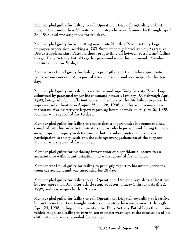**Member pled guilty for failing to call Operational Dispatch regarding at least four, but not more than 26 motor vehicle stops between January 14 through April 23, 1998, and was suspended for ten days.**

**Member pled guilty for submitting inaccurate Monthly Patrol Activity Logs, improper supervision, working a DWI Supplementary Patrol and an Aggressive Driver Supplementary Patrol without proper time off between patrols, and failing to sign Daily Activity Patrol Logs for personnel under his command. Member was suspended for 54 days.**

**Member was found guilty for failing to promptly report and take appropriate police action concerning a report of a sexual assault and was suspended for ten days.**

**Member pled guilty for failing to scrutinize and sign Daily Activity Patrol Logs submitted by personnel under his command between January 1998 through April 1998, being culpably inefficient as a squad supervisor for his failure to properly supervise subordinates on August 25 and 26, 1998, and for submission of an inaccurate Weekly Activity Report regarding hours of work on August 26, 1998. Member was suspended for 15 days.**

**Member pled guilty for failing to ensure that troopers under his command had complied with his order to terminate a motor vehicle pursuit and failing to make an appropriate inquiry in determining that his subordinates had extensive participation in this pursuit and the subsequent apprehension of the suspects. Member was suspended for ten days.**

**Member pled guilty for disclosing information of a confidential nature to an acquaintance without authorization and was suspended for ten days.**

**Member was found guilty for failing to promptly report to his unit supervisor a troop car accident and was suspended for 20 days.**

**Member pled guilty for failing to call Operational Dispatch regarding at least five, but not more than 37 motor vehicle stops between January 5 through April 22, 1998, and was suspended for 20 days.**

**Member pled guilty for failing to call Operational Dispatch regarding at least five, but not more than twenty-eight motor vehicle stops between January 1 through April 24, 1998, failing to document on his Daily Activity Patrol Logs three motor vehicle stops, and failing to turn in ten motorist warnings at the conclusion of his shift. Member was suspended for 20 days.**

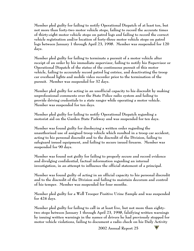**Member pled guilty for failing to notify Operational Dispatch of at least ten, but not more than forty-two motor vehicle stops, failing to record the accurate times of thirty-eight motor vehicle stops on patrol logs and failing to record the correct vehicle registration and/or location of forty-three motor vehicle stops on patrol logs between January 1 through April 23, 1998. Member was suspended for 120 days.**

**Member pled guilty for failing to terminate a pursuit of a motor vehicle after receipt of an order by his immediate supervisor, failing to notify his Supervisor or Operational Dispatch of the status of the continuous pursuit of this motor vehicle, failing to accurately record patrol log entries, and deactivating the troop car overhead lights and mobile video recorder prior to the termination of the pursuit. Member was suspended for 32 days.**

**Member pled guilty for acting in an unofficial capacity to his discredit by making unprofessional comments over the State Police radio system and failing to provide driving credentials to a state ranger while operating a motor vehicle. Member was suspended for ten days.**

**Member pled guilty for failing to notify Operational Dispatch regarding a motorist aid on the Garden State Parkway and was suspended for ten days.**

**Member was found guilty for disobeying a written order regarding the unauthorized use of assigned troop vehicle which resulted in a troop car accident, acting to his personal discredit and to the discredit of the Division, failing to safeguard issued equipment, and failing to secure issued firearm. Member was suspended for 90 days.**

**Member was found not guilty for failing to properly secure and record evidence and divulging confidential, factual information regarding an internal investigation, in an attempt to influence the official statement of a principal.**

**Member was found guilty of acting in an official capacity to his personal discredit and to the discredit of the Division and failing to maintain decorum and control of his temper. Member was suspended for four months.**

**Member pled guilty for a Well Trooper Positive Urine Sample and was suspended for 424 days.**

**Member pled guilty for failing to call in at least five, but not more than eightytwo stops between January 1 through April 23, 1998, falsifying written warnings by issuing written warnings in the names of drivers he had previously stopped for motor vehicle violations, failing to document a radio check on his Daily Activity**

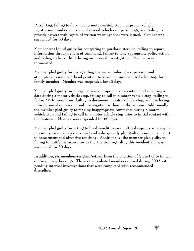**Patrol Log, failing to document a motor vehicle stop and proper vehicle registration number and state of several vehicles on patrol logs, and failing to provide drivers with copies of written warnings that were issued. Member was suspended for 60 days.**

**Member was found guilty for conspiring to purchase steroids, failing to report information through chain of command, failing to take appropriate police action, and failing to be truthful during an internal investigation. Member was terminated.**

**Member pled guilty for disregarding the verbal order of a supervisor and attempting to use his official position to secure an unwarranted advantage for a family member. Member was suspended for 15 days.**

**Member pled guilty for engaging in inappropriate conversation and soliciting a date during a motor vehicle stop, failing to call in a motor vehicle stop, failing to follow MVR procedures, failing to document a motor vehicle stop, and disclosing information about an internal investigation without authorization. Additionally the member pled guilty to making inappropriate comments during a motor vehicle stop and failing to call in a motor vehicle stop prior to initial contact with the motorist. Member was suspended for 60 days.** 

**Member pled guilty for acting to his discredit in an unofficial capacity whereby he physically assaulted an individual and subsequently pled guilty in municipal court to harassment and offensive touching. Additionally, the member pled guilty to failing to notify his supervisor or the Division regarding this incident and was suspended for 30 days.**

**In addition, six members resigned/retired from the Division of State Police in lieu of disciplinary hearings. Three other enlisted members retired during 2002 with pending internal investigations that were completed with recommended discipline.**

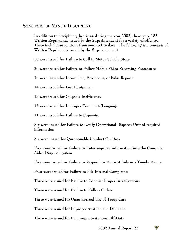#### **SYNOPSIS OF MINOR DISCIPLINE**

**In addition to disciplinary hearings, during the year 2002, there were 183 Written Reprimands issued by the Superintendent for a variety of offenses. These include suspensions from zero to five days. The following is a synopsis of Written Reprimands issued by the Superintendent:**

**30 were issued for Failure to Call in Motor Vehicle Stops**

**20 were issued for Failure to Follow Mobile Video Recording Procedures**

**19 were issued for Incomplete, Erroneous, or False Reports**

**14 were issued for Lost Equipment**

**13 were issued for Culpable Inefficiency**

**13 were issued for Improper Comments/Language**

**11 were issued for Failure to Supervise**

**Six were issued for Failure to Notify Operational Dispatch Unit of required information**

**Six were issued for Questionable Conduct On-Duty**

**Five were issued for Failure to Enter required information into the Computer Aided Dispatch system**

**Five were issued for Failure to Respond to Motorist Aids in a Timely Manner**

**Four were issued for Failure to File Internal Complaints**

**Three were issued for Failure to Conduct Proper Investigations**

**Three were issued for Failure to Follow Orders**

**Three were issued for Unauthorized Use of Troop Cars**

**Three were issued for Improper Attitude and Demeanor**

**Three were issued for Inappropriate Actions Off-Duty**

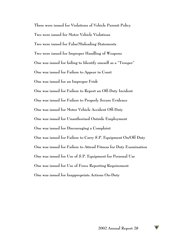**Three were issued for Violations of Vehicle Pursuit Policy Two were issued for Motor Vehicle Violations Two were issued for False/Misleading Statements Two were issued for Improper Handling of Weapons One was issued for failing to Identify oneself as a "Trooper" One was issued for Failure to Appear in Court One was issued for an Improper Frisk One was issued for Failure to Report an Off-Duty Incident One was issued for Failure to Properly Secure Evidence One was issued for Motor Vehicle Accident Off-Duty One was issued for Unauthorized Outside Employment One was issued for Discouraging a Complaint One was issued for Failure to Carry S.P. Equipment On/Off Duty One was issued for Failure to Attend Fitness for Duty Examination One was issued for Use of S.P. Equipment for Personal Use One was issued for Use of Force Reporting Requirement One was issued for Inappropriate Actions On-Duty**